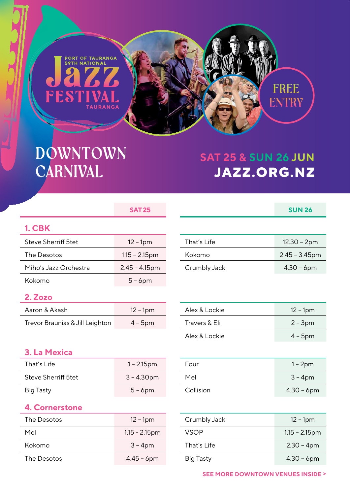# **URANGA** DOWNTOWN

**PORT OF TAURANGA**<br>59TH NATIONAL

CARNIVAL

### SAT 25 & SUN 26 JUN JAZZ.ORG.NZ

**FREE ENTRY** 

|                                 | <b>SAT 25</b>    |               | <b>SUN 26</b>    |
|---------------------------------|------------------|---------------|------------------|
| 1. CBK                          |                  |               |                  |
| <b>Steve Sherriff 5tet</b>      | $12 - 1pm$       | That's Life   | $12.30 - 2pm$    |
| The Desotos                     | $1.15 - 2.15$ pm | Kokomo        | $2.45 - 3.45$ pm |
| Miho's Jazz Orchestra           | $2.45 - 4.15$ pm | Crumbly Jack  | $4.30 - 6$ pm    |
| Kokomo                          | $5 - 6$ pm       |               |                  |
| 2. Zozo                         |                  |               |                  |
| Aaron & Akash                   | $12 - 1pm$       | Alex & Lockie | $12 - 1pm$       |
| Trevor Braunias & Jill Leighton | $4 - 5$ pm       | Travers & Eli | $2 - 3pm$        |
|                                 |                  | Alex & Lockie | $4 - 5$ pm       |
| 3. La Mexica                    |                  |               |                  |
| That's Life                     | $1 - 2.15$ pm    | Four          | $1 - 2pm$        |
| <b>Steve Sherriff 5tet</b>      | $3 - 4.30$ pm    | Mel           | $3 - 4pm$        |
| <b>Big Tasty</b>                | $5 - 6$ pm       | Collision     | $4.30 - 6$ pm    |
| <b>4. Cornerstone</b>           |                  |               |                  |
| The Desotos                     | $12 - 1pm$       | Crumbly Jack  | $12 - 1pm$       |
| Mel                             | $1.15 - 2.15$ pm | <b>VSOP</b>   | $1.15 - 2.15$ pm |
| Kokomo                          | $3 - 4$ pm       | That's Life   | $2.30 - 4pm$     |

| <b>SAT 25</b> |                 | <b>SUN 26</b> |
|---------------|-----------------|---------------|
|               |                 |               |
| $2 - 1nm$     | $Theta'$ c lifa | $12.30 - 2nm$ |

| That's Life  | $12.30 - 2pm$    |
|--------------|------------------|
| Kokomo       | $2.45 - 3.45$ pm |
| Crumbly Jack | $4.30 - 6$ pm    |

| Alex & Lockie | $12 - 1pm$ |
|---------------|------------|
| Travers & Eli | $2 - 3pm$  |
| Alex & Lockie | $4 - 5$ pm |

#### 3. La Mexica

| That's Life                | $1 - 2.15$ pm |
|----------------------------|---------------|
| <b>Steve Sherriff 5tet</b> | $3 - 4.30$ pm |
| <b>Big Tasty</b>           | $5 - 6$ pm    |

#### 4. Cornerstone

| The Desotos | $12 - 1pm$       | Crumbly Jack     | $12 - 1pm$       |
|-------------|------------------|------------------|------------------|
| Mel         | $1.15 - 2.15$ pm | <b>VSOP</b>      | $1.15 - 2.15$ pm |
| Kokomo      | $3 - 4$ pm       | That's Life      | $2.30 - 4pm$     |
| The Desotos | $4.45 - 6$ pm    | <b>Big Tasty</b> | $4.30 - 6$ pm    |

| Four      | $1 - 2pm$    |
|-----------|--------------|
| Mel       | $3 - 4$ pm   |
| Collision | $4.30 - 6pm$ |

| Crumbly Jack | $12 - 1pm$       |
|--------------|------------------|
| VSOP         | $1.15 - 2.15$ pm |
| That's Life  | $2.30 - 4pm$     |
| Big Tasty    | $4.30 - 6$ pm    |

SEE MORE DOWNTOWN VENUES INSIDE >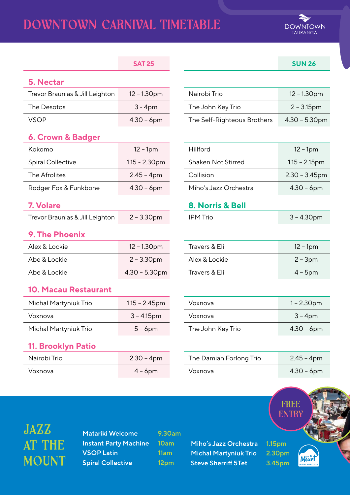### DOWNTOWN CARNIVAL TIMETABLE



|                                 | <b>SAT 25</b>    |                             | <b>SUN 26</b>    |
|---------------------------------|------------------|-----------------------------|------------------|
| 5. Nectar                       |                  |                             |                  |
| Trevor Braunias & Jill Leighton | 12 - 1.30pm      | Nairobi Trio                | 12 - 1.30pm      |
| The Desotos                     | $3 - 4pm$        | The John Key Trio           | $2 - 3.15$ pm    |
| <b>VSOP</b>                     | $4.30 - 6pm$     | The Self-Righteous Brothers | $4.30 - 5.30$ pm |
| 6. Crown & Badger               |                  |                             |                  |
| Kokomo                          | $12 - 1pm$       | Hillford                    | $12 - 1pm$       |
| <b>Spiral Collective</b>        | 1.15 - 2.30pm    | <b>Shaken Not Stirred</b>   | $1.15 - 2.15$ pm |
| The Afrolites                   | $2.45 - 4pm$     | Collision                   | $2.30 - 3.45$ pm |
| Rodger Fox & Funkbone           | $4.30 - 6pm$     | Miho's Jazz Orchestra       | $4.30 - 6$ pm    |
| 7. Volare                       |                  | 8. Norris & Bell            |                  |
| Trevor Braunias & Jill Leighton | $2 - 3.30$ pm    | <b>IPM Trio</b>             | $3 - 4.30$ pm    |
| 9. The Phoenix                  |                  |                             |                  |
| Alex & Lockie                   | $12 - 1.30$ pm   | Travers & Eli               | $12 - 1pm$       |
| Abe & Lockie                    | $2 - 3.30$ pm    | Alex & Lockie               | $2 - 3pm$        |
| Abe & Lockie                    | $4.30 - 5.30$ pm | Travers & Eli               | $4 - 5$ pm       |
| 10. Macau Restaurant            |                  |                             |                  |
| Michal Martyniuk Trio           | $1.15 - 2.45$ pm | Voxnova                     | $1 - 2.30$ pm    |
| Voxnova                         | $3 - 4.15$ pm    | Voxnova                     | $3 - 4pm$        |
| Michal Martyniuk Trio           | $5 - 6$ pm       | The John Key Trio           | $4.30 - 6$ pm    |
| 11. Brooklyn Patio              |                  |                             |                  |
| Nairobi Trio                    | $2.30 - 4pm$     | The Damian Forlong Trio     | $2.45 - 4pm$     |
| Voxnova                         | $4 - 6$ pm       | Voxnova                     | $4.30 - 6$ pm    |
|                                 |                  |                             |                  |



### JAZZ AT THE MOUNT

Matariki Welcome 9.30am Instant Party Machine 10am VSOP Latin 11am Spiral Collective 12pm

Miho's Jazz Orchestra 1.15pm Michal Martyniuk Trio 2.30pm Steve Sherriff 5Tet 3.45pm

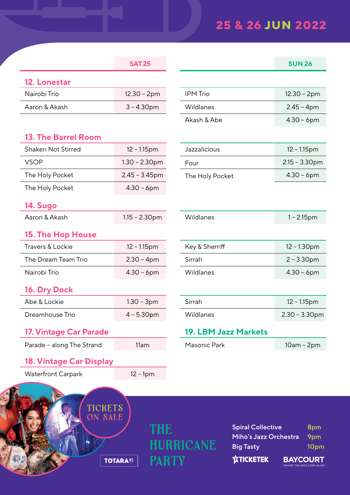### 25 & 26 Jun 2022

WHERE THE ARTS COME ALIVE

|                                |                   | <b>SAT 25</b>    |                  |                                           | <b>SUN 26</b>    |                  |
|--------------------------------|-------------------|------------------|------------------|-------------------------------------------|------------------|------------------|
| 12. Lonestar                   |                   |                  |                  |                                           |                  |                  |
| Nairobi Trio                   |                   | $12.30 - 2pm$    | <b>IPM</b> Trio  |                                           | $12.30 - 2pm$    |                  |
| Aaron & Akash                  | $3 - 4.30$ pm     |                  | Wildlanes        |                                           | 2.45 – 4pm       |                  |
|                                |                   |                  | Akash & Abe      |                                           | $4.30 - 6pm$     |                  |
| <b>13. The Barrel Room</b>     |                   |                  |                  |                                           |                  |                  |
| Shaken Not Stirred             |                   | $12 - 1.15$ pm   | Jazzalicious     |                                           | 12 - 1.15pm      |                  |
| <b>VSOP</b>                    |                   | $1.30 - 2.30$ pm | Four             |                                           |                  | $2.15 - 3.30$ pm |
| The Holy Pocket                |                   | $2.45 - 3.45$ pm | The Holy Pocket  |                                           | $4.30 - 6pm$     |                  |
| The Holy Pocket                |                   | $4.30 - 6pm$     |                  |                                           |                  |                  |
| 14. Sugo                       |                   |                  |                  |                                           |                  |                  |
| Aaron & Akash                  |                   | $1.15 - 2.30$ pm | Wildlanes        |                                           | $1 - 2.15$ pm    |                  |
| 15. The Hop House              |                   |                  |                  |                                           |                  |                  |
| Travers & Lockie               |                   | 12 - 1.15pm      | Key & Sherriff   |                                           | 12 - 1.30pm      |                  |
| The Dream Team Trio            | $2.30 - 4pm$      |                  | Sirrah           |                                           | $2 - 3.30$ pm    |                  |
| Nairobi Trio                   | $4.30 - 6pm$      |                  | Wildlanes        |                                           | $4.30 - 6pm$     |                  |
| 16. Dry Dock                   |                   |                  |                  |                                           |                  |                  |
| Abe & Lockie                   |                   | $1.30 - 3pm$     | Sirrah           |                                           | 12 - 1.15pm      |                  |
| Dreamhouse Trio                |                   | $4 - 5.30$ pm    | Wildlanes        |                                           | $2.30 - 3.30$ pm |                  |
| <b>17. Vintage Car Parade</b>  |                   |                  |                  | 19. LBM Jazz Markets                      |                  |                  |
| Parade - along The Strand      |                   | 11am             | Masonic Park     |                                           | $10am - 2pm$     |                  |
| <b>18. Vintage Car Display</b> |                   |                  |                  |                                           |                  |                  |
| <b>Waterfront Carpark</b>      |                   | $12 - 1pm$       |                  |                                           |                  |                  |
|                                |                   |                  |                  |                                           |                  |                  |
| <b>TICKETS</b>                 |                   |                  |                  |                                           |                  |                  |
| ON SALE                        |                   |                  |                  |                                           |                  |                  |
|                                |                   | <b>THE</b>       |                  | <b>Spiral Collective</b>                  |                  | 8pm              |
|                                |                   |                  | <b>HURRICANE</b> | Miho's Jazz Orchestra<br><b>Big Tasty</b> |                  | 9pm<br>10pm      |
|                                | <b>TOTARA ST.</b> |                  |                  | <b>TICKETEK</b>                           |                  | <b>BAYCOURT</b>  |